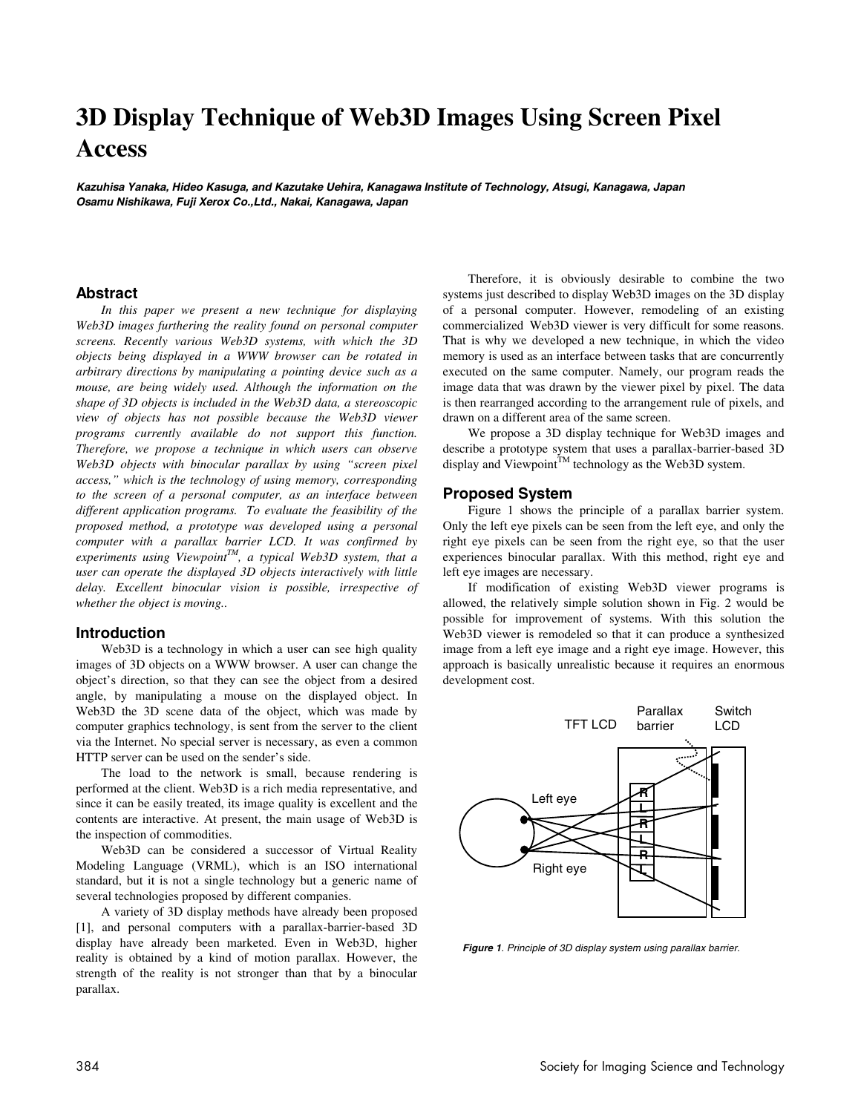# **3D Display Technique of Web3D Images Using Screen Pixel Access**

**Kazuhisa Yanaka, Hideo Kasuga, and Kazutake Uehira, Kanagawa Institute of Technology, Atsugi, Kanagawa, Japan Osamu Nishikawa, Fuji Xerox Co.,Ltd., Nakai, Kanagawa, Japan** 

#### **Abstract**

*In this paper we present a new technique for displaying Web3D images furthering the reality found on personal computer screens. Recently various Web3D systems, with which the 3D objects being displayed in a WWW browser can be rotated in arbitrary directions by manipulating a pointing device such as a mouse, are being widely used. Although the information on the shape of 3D objects is included in the Web3D data, a stereoscopic view of objects has not possible because the Web3D viewer programs currently available do not support this function. Therefore, we propose a technique in which users can observe Web3D objects with binocular parallax by using "screen pixel access," which is the technology of using memory, corresponding to the screen of a personal computer, as an interface between different application programs. To evaluate the feasibility of the proposed method, a prototype was developed using a personal computer with a parallax barrier LCD. It was confirmed by experiments using ViewpointTM, a typical Web3D system, that a user can operate the displayed 3D objects interactively with little delay. Excellent binocular vision is possible, irrespective of whether the object is moving..* 

#### **Introduction**

Web3D is a technology in which a user can see high quality images of 3D objects on a WWW browser. A user can change the object's direction, so that they can see the object from a desired angle, by manipulating a mouse on the displayed object. In Web3D the 3D scene data of the object, which was made by computer graphics technology, is sent from the server to the client via the Internet. No special server is necessary, as even a common HTTP server can be used on the sender's side.

The load to the network is small, because rendering is performed at the client. Web3D is a rich media representative, and since it can be easily treated, its image quality is excellent and the contents are interactive. At present, the main usage of Web3D is the inspection of commodities.

Web3D can be considered a successor of Virtual Reality Modeling Language (VRML), which is an ISO international standard, but it is not a single technology but a generic name of several technologies proposed by different companies.

A variety of 3D display methods have already been proposed [1], and personal computers with a parallax-barrier-based 3D display have already been marketed. Even in Web3D, higher reality is obtained by a kind of motion parallax. However, the strength of the reality is not stronger than that by a binocular parallax.

Therefore, it is obviously desirable to combine the two systems just described to display Web3D images on the 3D display of a personal computer. However, remodeling of an existing commercialized Web3D viewer is very difficult for some reasons. That is why we developed a new technique, in which the video memory is used as an interface between tasks that are concurrently executed on the same computer. Namely, our program reads the image data that was drawn by the viewer pixel by pixel. The data is then rearranged according to the arrangement rule of pixels, and drawn on a different area of the same screen.

We propose a 3D display technique for Web3D images and describe a prototype system that uses a parallax-barrier-based 3D display and Viewpoint<sup>™</sup> technology as the Web3D system.

#### **Proposed System**

Figure 1 shows the principle of a parallax barrier system. Only the left eye pixels can be seen from the left eye, and only the right eye pixels can be seen from the right eye, so that the user experiences binocular parallax. With this method, right eye and left eye images are necessary.

If modification of existing Web3D viewer programs is allowed, the relatively simple solution shown in Fig. 2 would be possible for improvement of systems. With this solution the Web3D viewer is remodeled so that it can produce a synthesized image from a left eye image and a right eye image. However, this approach is basically unrealistic because it requires an enormous development cost.



**Figure 1**. Principle of 3D display system using parallax barrier.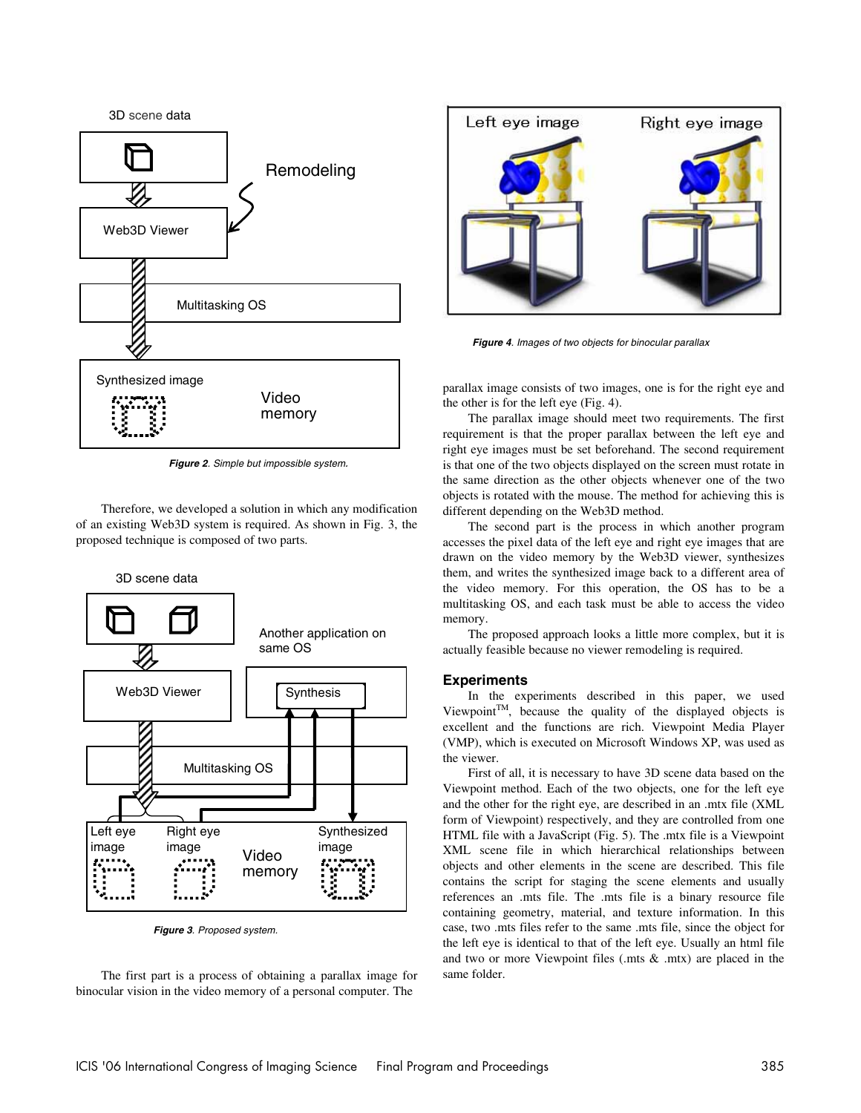

**Figure 2**. Simple but impossible system.

Therefore, we developed a solution in which any modification of an existing Web3D system is required. As shown in Fig. 3, the proposed technique is composed of two parts.



**Figure 3**. Proposed system.

The first part is a process of obtaining a parallax image for binocular vision in the video memory of a personal computer. The



**Figure 4**. Images of two objects for binocular parallax

parallax image consists of two images, one is for the right eye and the other is for the left eye (Fig. 4).

The parallax image should meet two requirements. The first requirement is that the proper parallax between the left eye and right eye images must be set beforehand. The second requirement is that one of the two objects displayed on the screen must rotate in the same direction as the other objects whenever one of the two objects is rotated with the mouse. The method for achieving this is different depending on the Web3D method.

The second part is the process in which another program accesses the pixel data of the left eye and right eye images that are drawn on the video memory by the Web3D viewer, synthesizes them, and writes the synthesized image back to a different area of the video memory. For this operation, the OS has to be a multitasking OS, and each task must be able to access the video memory.

The proposed approach looks a little more complex, but it is actually feasible because no viewer remodeling is required.

#### **Experiments**

In the experiments described in this paper, we used ViewpointTM, because the quality of the displayed objects is excellent and the functions are rich. Viewpoint Media Player (VMP), which is executed on Microsoft Windows XP, was used as the viewer.

First of all, it is necessary to have 3D scene data based on the Viewpoint method. Each of the two objects, one for the left eye and the other for the right eye, are described in an .mtx file (XML form of Viewpoint) respectively, and they are controlled from one HTML file with a JavaScript (Fig. 5). The .mtx file is a Viewpoint XML scene file in which hierarchical relationships between objects and other elements in the scene are described. This file contains the script for staging the scene elements and usually references an .mts file. The .mts file is a binary resource file containing geometry, material, and texture information. In this case, two .mts files refer to the same .mts file, since the object for the left eye is identical to that of the left eye. Usually an html file and two or more Viewpoint files (.mts & .mtx) are placed in the same folder.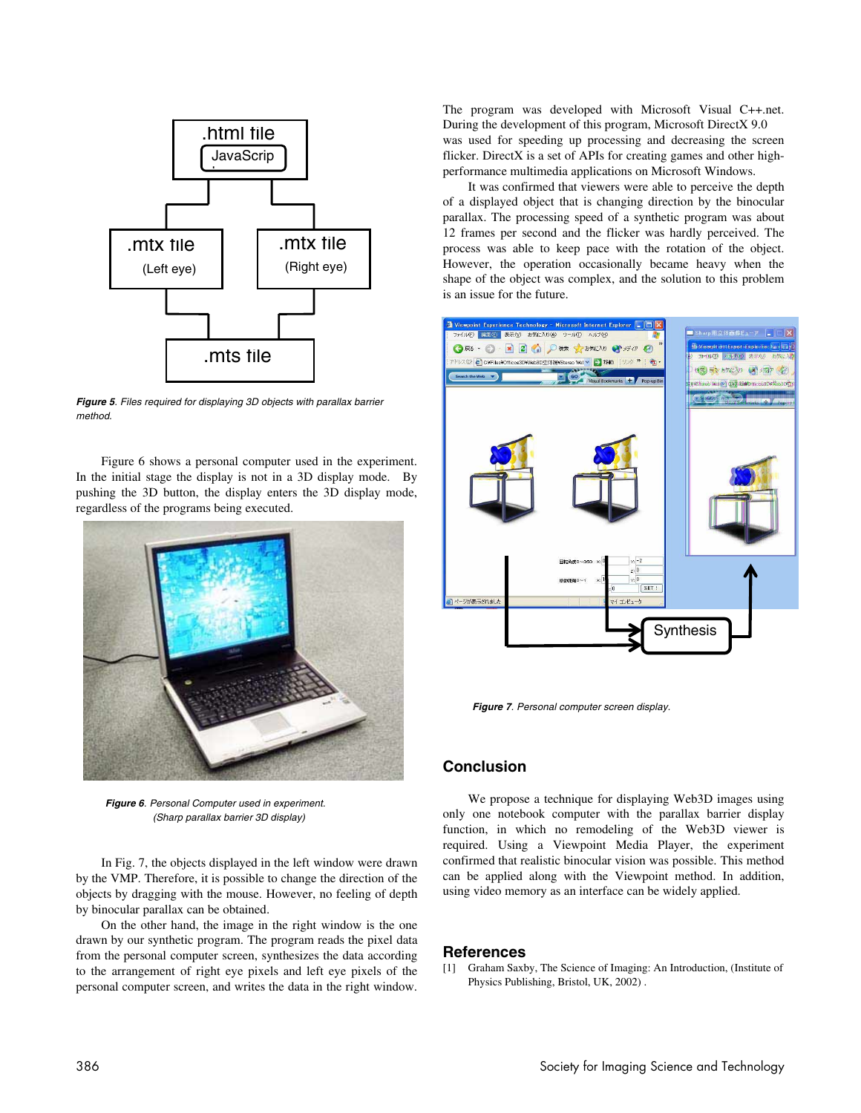

**Figure 5**. Files required for displaying 3D objects with parallax barrier method.

Figure 6 shows a personal computer used in the experiment. In the initial stage the display is not in a 3D display mode. By pushing the 3D button, the display enters the 3D display mode, regardless of the programs being executed.



**Figure 6**. Personal Computer used in experiment. (Sharp parallax barrier 3D display)

In Fig. 7, the objects displayed in the left window were drawn by the VMP. Therefore, it is possible to change the direction of the objects by dragging with the mouse. However, no feeling of depth by binocular parallax can be obtained.

On the other hand, the image in the right window is the one drawn by our synthetic program. The program reads the pixel data from the personal computer screen, synthesizes the data according to the arrangement of right eye pixels and left eye pixels of the personal computer screen, and writes the data in the right window. The program was developed with Microsoft Visual C++.net. During the development of this program, Microsoft DirectX 9.0 was used for speeding up processing and decreasing the screen flicker. DirectX is a set of APIs for creating games and other highperformance multimedia applications on Microsoft Windows.

It was confirmed that viewers were able to perceive the depth of a displayed object that is changing direction by the binocular parallax. The processing speed of a synthetic program was about 12 frames per second and the flicker was hardly perceived. The process was able to keep pace with the rotation of the object. However, the operation occasionally became heavy when the shape of the object was complex, and the solution to this problem is an issue for the future.



**Figure 7**. Personal computer screen display.

### **Conclusion**

We propose a technique for displaying Web3D images using only one notebook computer with the parallax barrier display function, in which no remodeling of the Web3D viewer is required. Using a Viewpoint Media Player, the experiment confirmed that realistic binocular vision was possible. This method can be applied along with the Viewpoint method. In addition, using video memory as an interface can be widely applied.

#### **References**

[1] Graham Saxby, The Science of Imaging: An Introduction, (Institute of Physics Publishing, Bristol, UK, 2002) .